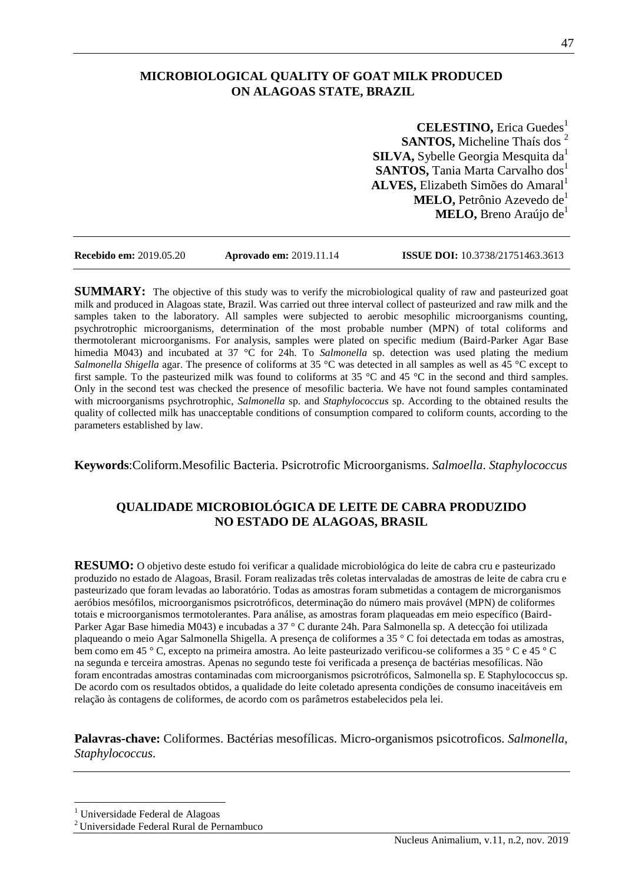# **MICROBIOLOGICAL QUALITY OF GOAT MILK PRODUCED ON ALAGOAS STATE, BRAZIL**

**CELESTINO, Erica Guedes<sup>1</sup> SANTOS, Micheline Thaís dos** <sup>2</sup> **SILVA, Sybelle Georgia Mesquita da<sup>1</sup> SANTOS, Tania Marta Carvalho dos1 ALVES, Elizabeth Simões do Amaral<sup>1</sup> MELO, Petrônio Azevedo de<sup>1</sup> MELO, Breno Araújo de**<sup>1</sup>

**Recebido em:** 2019.05.20 **Aprovado em:** 2019.11.14 **ISSUE DOI:** 10.3738/21751463.3613

**SUMMARY:** The objective of this study was to verify the microbiological quality of raw and pasteurized goat milk and produced in Alagoas state, Brazil. Was carried out three interval collect of pasteurized and raw milk and the samples taken to the laboratory. All samples were subjected to aerobic mesophilic microorganisms counting, psychrotrophic microorganisms, determination of the most probable number (MPN) of total coliforms and thermotolerant microorganisms. For analysis, samples were plated on specific medium (Baird-Parker Agar Base himedia M043) and incubated at 37 °C for 24h. To *Salmonella* sp. detection was used plating the medium *Salmonella Shigella* agar. The presence of coliforms at 35 °C was detected in all samples as well as 45 °C except to first sample. To the pasteurized milk was found to coliforms at 35 °C and 45 °C in the second and third samples. Only in the second test was checked the presence of mesofilic bacteria. We have not found samples contaminated with microorganisms psychrotrophic, *Salmonella* sp. and *Staphylococcus* sp. According to the obtained results the quality of collected milk has unacceptable conditions of consumption compared to coliform counts, according to the parameters established by law.

**Keywords**:Coliform.Mesofilic Bacteria. Psicrotrofic Microorganisms. *Salmoella*. *Staphylococcus*

## **QUALIDADE MICROBIOLÓGICA DE LEITE DE CABRA PRODUZIDO NO ESTADO DE ALAGOAS, BRASIL**

**RESUMO:** O objetivo deste estudo foi verificar a qualidade microbiológica do leite de cabra cru e pasteurizado produzido no estado de Alagoas, Brasil. Foram realizadas três coletas intervaladas de amostras de leite de cabra cru e pasteurizado que foram levadas ao laboratório. Todas as amostras foram submetidas a contagem de microrganismos aeróbios mesófilos, microorganismos psicrotróficos, determinação do número mais provável (MPN) de coliformes totais e microorganismos termotolerantes. Para análise, as amostras foram plaqueadas em meio específico (Baird-Parker Agar Base himedia M043) e incubadas a 37 ° C durante 24h. Para Salmonella sp. A detecção foi utilizada plaqueando o meio Agar Salmonella Shigella. A presença de coliformes a 35 ° C foi detectada em todas as amostras, bem como em 45 ° C, excepto na primeira amostra. Ao leite pasteurizado verificou-se coliformes a 35 ° C e 45 ° C na segunda e terceira amostras. Apenas no segundo teste foi verificada a presença de bactérias mesofílicas. Não foram encontradas amostras contaminadas com microorganismos psicrotróficos, Salmonella sp. E Staphylococcus sp. De acordo com os resultados obtidos, a qualidade do leite coletado apresenta condições de consumo inaceitáveis em relação às contagens de coliformes, de acordo com os parâmetros estabelecidos pela lei.

**Palavras-chave:** Coliformes. Bactérias mesofílicas. Micro-organismos psicotroficos. *Salmonella*, *Staphylococcus*.

 $\overline{a}$ <sup>1</sup> Universidade Federal de Alagoas

<sup>2</sup>Universidade Federal Rural de Pernambuco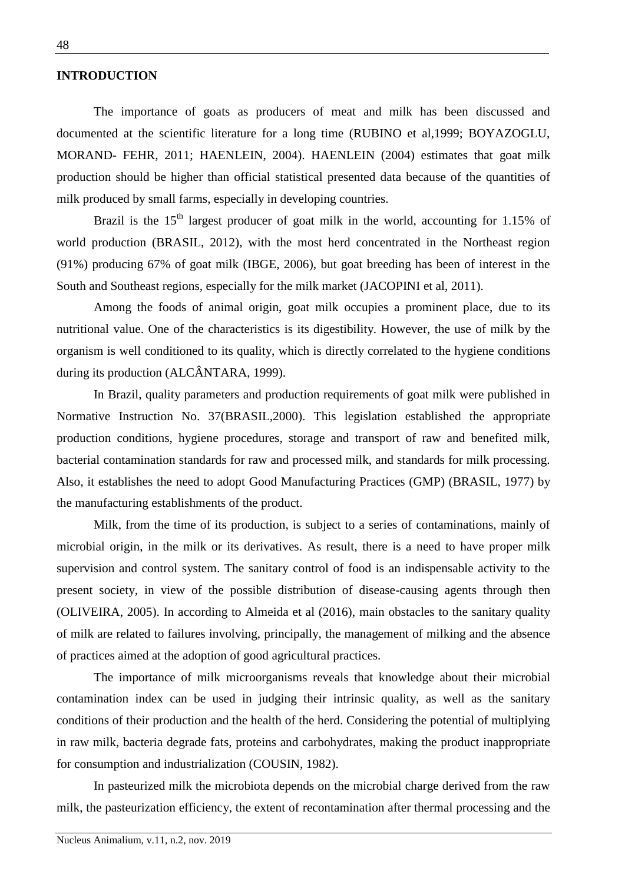### **INTRODUCTION**

The importance of goats as producers of meat and milk has been discussed and documented at the scientific literature for a long time (RUBINO et al,1999; BOYAZOGLU, MORAND- FEHR, 2011; HAENLEIN, 2004). HAENLEIN (2004) estimates that goat milk production should be higher than official statistical presented data because of the quantities of milk produced by small farms, especially in developing countries.

Brazil is the  $15<sup>th</sup>$  largest producer of goat milk in the world, accounting for 1.15% of world production (BRASIL, 2012), with the most herd concentrated in the Northeast region (91%) producing 67% of goat milk (IBGE, 2006), but goat breeding has been of interest in the South and Southeast regions, especially for the milk market (JACOPINI et al, 2011).

Among the foods of animal origin, goat milk occupies a prominent place, due to its nutritional value. One of the characteristics is its digestibility. However, the use of milk by the organism is well conditioned to its quality, which is directly correlated to the hygiene conditions during its production (ALCÂNTARA, 1999).

In Brazil, quality parameters and production requirements of goat milk were published in Normative Instruction No. 37(BRASIL,2000). This legislation established the appropriate production conditions, hygiene procedures, storage and transport of raw and benefited milk, bacterial contamination standards for raw and processed milk, and standards for milk processing. Also, it establishes the need to adopt Good Manufacturing Practices (GMP) (BRASIL, 1977) by the manufacturing establishments of the product.

Milk, from the time of its production, is subject to a series of contaminations, mainly of microbial origin, in the milk or its derivatives. As result, there is a need to have proper milk supervision and control system. The sanitary control of food is an indispensable activity to the present society, in view of the possible distribution of disease-causing agents through then (OLIVEIRA, 2005). In according to Almeida et al (2016), main obstacles to the sanitary quality of milk are related to failures involving, principally, the management of milking and the absence of practices aimed at the adoption of good agricultural practices.

The importance of milk microorganisms reveals that knowledge about their microbial contamination index can be used in judging their intrinsic quality, as well as the sanitary conditions of their production and the health of the herd. Considering the potential of multiplying in raw milk, bacteria degrade fats, proteins and carbohydrates, making the product inappropriate for consumption and industrialization (COUSIN, 1982).

In pasteurized milk the microbiota depends on the microbial charge derived from the raw milk, the pasteurization efficiency, the extent of recontamination after thermal processing and the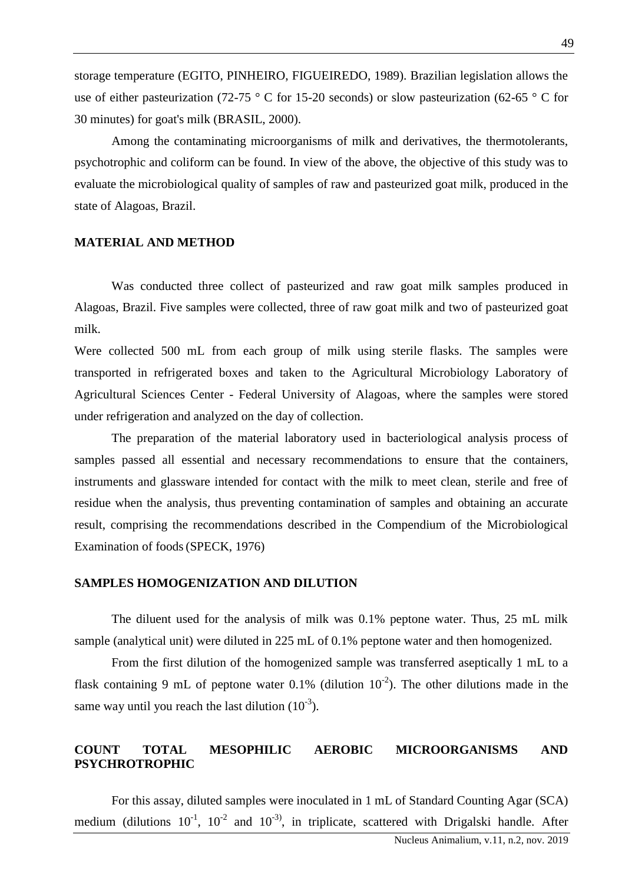storage temperature (EGITO, PINHEIRO, FIGUEIREDO, 1989). Brazilian legislation allows the use of either pasteurization (72-75 ° C for 15-20 seconds) or slow pasteurization (62-65 ° C for 30 minutes) for goat's milk (BRASIL, 2000).

Among the contaminating microorganisms of milk and derivatives, the thermotolerants, psychotrophic and coliform can be found. In view of the above, the objective of this study was to evaluate the microbiological quality of samples of raw and pasteurized goat milk, produced in the state of Alagoas, Brazil.

#### **MATERIAL AND METHOD**

Was conducted three collect of pasteurized and raw goat milk samples produced in Alagoas, Brazil. Five samples were collected, three of raw goat milk and two of pasteurized goat milk.

Were collected 500 mL from each group of milk using sterile flasks. The samples were transported in refrigerated boxes and taken to the Agricultural Microbiology Laboratory of Agricultural Sciences Center - Federal University of Alagoas, where the samples were stored under refrigeration and analyzed on the day of collection.

The preparation of the material laboratory used in bacteriological analysis process of samples passed all essential and necessary recommendations to ensure that the containers, instruments and glassware intended for contact with the milk to meet clean, sterile and free of residue when the analysis, thus preventing contamination of samples and obtaining an accurate result, comprising the recommendations described in the Compendium of the Microbiological Examination of foods(SPECK, 1976)

## **SAMPLES HOMOGENIZATION AND DILUTION**

The diluent used for the analysis of milk was 0.1% peptone water. Thus, 25 mL milk sample (analytical unit) were diluted in 225 mL of 0.1% peptone water and then homogenized.

From the first dilution of the homogenized sample was transferred aseptically 1 mL to a flask containing 9 mL of peptone water 0.1% (dilution  $10^{-2}$ ). The other dilutions made in the same way until you reach the last dilution  $(10^{-3})$ .

## **COUNT TOTAL MESOPHILIC AEROBIC MICROORGANISMS AND PSYCHROTROPHIC**

For this assay, diluted samples were inoculated in 1 mL of Standard Counting Agar (SCA) medium (dilutions  $10^{-1}$ ,  $10^{-2}$  and  $10^{-3}$ ), in triplicate, scattered with Drigalski handle. After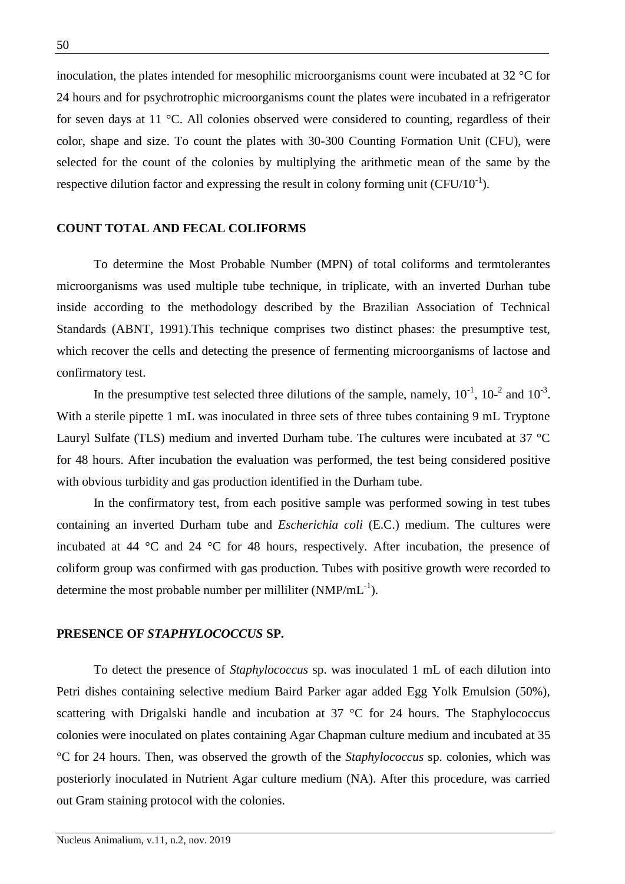inoculation, the plates intended for mesophilic microorganisms count were incubated at 32 °C for 24 hours and for psychrotrophic microorganisms count the plates were incubated in a refrigerator for seven days at 11 °C. All colonies observed were considered to counting, regardless of their color, shape and size. To count the plates with 30-300 Counting Formation Unit (CFU), were selected for the count of the colonies by multiplying the arithmetic mean of the same by the respective dilution factor and expressing the result in colony forming unit  $(CFU/10^{-1})$ .

## **COUNT TOTAL AND FECAL COLIFORMS**

To determine the Most Probable Number (MPN) of total coliforms and termtolerantes microorganisms was used multiple tube technique, in triplicate, with an inverted Durhan tube inside according to the methodology described by the Brazilian Association of Technical Standards (ABNT, 1991).This technique comprises two distinct phases: the presumptive test, which recover the cells and detecting the presence of fermenting microorganisms of lactose and confirmatory test.

In the presumptive test selected three dilutions of the sample, namely,  $10^{-1}$ ,  $10^{-2}$  and  $10^{-3}$ . With a sterile pipette 1 mL was inoculated in three sets of three tubes containing 9 mL Tryptone Lauryl Sulfate (TLS) medium and inverted Durham tube. The cultures were incubated at 37 °C for 48 hours. After incubation the evaluation was performed, the test being considered positive with obvious turbidity and gas production identified in the Durham tube.

In the confirmatory test, from each positive sample was performed sowing in test tubes containing an inverted Durham tube and *Escherichia coli* (E.C.) medium. The cultures were incubated at 44 °C and 24 °C for 48 hours, respectively. After incubation, the presence of coliform group was confirmed with gas production. Tubes with positive growth were recorded to determine the most probable number per milliliter ( $NMP/mL^{-1}$ ).

#### **PRESENCE OF** *STAPHYLOCOCCUS* **SP.**

To detect the presence of *Staphylococcus* sp. was inoculated 1 mL of each dilution into Petri dishes containing selective medium Baird Parker agar added Egg Yolk Emulsion (50%), scattering with Drigalski handle and incubation at 37 °C for 24 hours. The Staphylococcus colonies were inoculated on plates containing Agar Chapman culture medium and incubated at 35 °C for 24 hours. Then, was observed the growth of the *Staphylococcus* sp. colonies, which was posteriorly inoculated in Nutrient Agar culture medium (NA). After this procedure, was carried out Gram staining protocol with the colonies.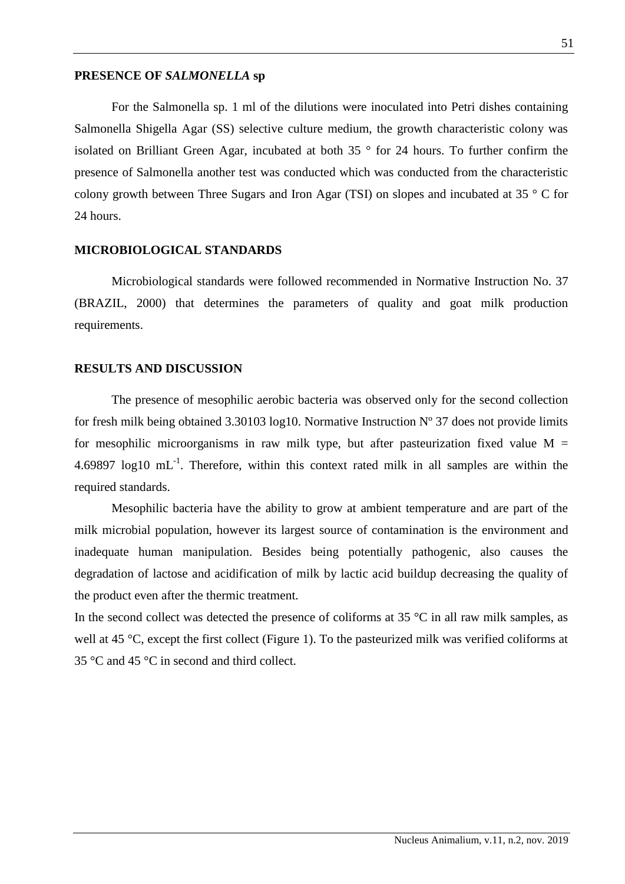### **PRESENCE OF** *SALMONELLA* **sp**

For the Salmonella sp. 1 ml of the dilutions were inoculated into Petri dishes containing Salmonella Shigella Agar (SS) selective culture medium, the growth characteristic colony was isolated on Brilliant Green Agar, incubated at both 35 ° for 24 hours. To further confirm the presence of Salmonella another test was conducted which was conducted from the characteristic colony growth between Three Sugars and Iron Agar (TSI) on slopes and incubated at 35 ° C for 24 hours.

## **MICROBIOLOGICAL STANDARDS**

Microbiological standards were followed recommended in Normative Instruction No. 37 (BRAZIL, 2000) that determines the parameters of quality and goat milk production requirements.

#### **RESULTS AND DISCUSSION**

The presence of mesophilic aerobic bacteria was observed only for the second collection for fresh milk being obtained 3.30103 log10. Normative Instruction  $N^{\circ}$  37 does not provide limits for mesophilic microorganisms in raw milk type, but after pasteurization fixed value  $M =$ 4.69897  $log10 \text{ mL}^{-1}$ . Therefore, within this context rated milk in all samples are within the required standards.

Mesophilic bacteria have the ability to grow at ambient temperature and are part of the milk microbial population, however its largest source of contamination is the environment and inadequate human manipulation. Besides being potentially pathogenic, also causes the degradation of lactose and acidification of milk by lactic acid buildup decreasing the quality of the product even after the thermic treatment.

In the second collect was detected the presence of coliforms at  $35 \degree C$  in all raw milk samples, as well at 45 °C, except the first collect (Figure 1). To the pasteurized milk was verified coliforms at 35 °C and 45 °C in second and third collect.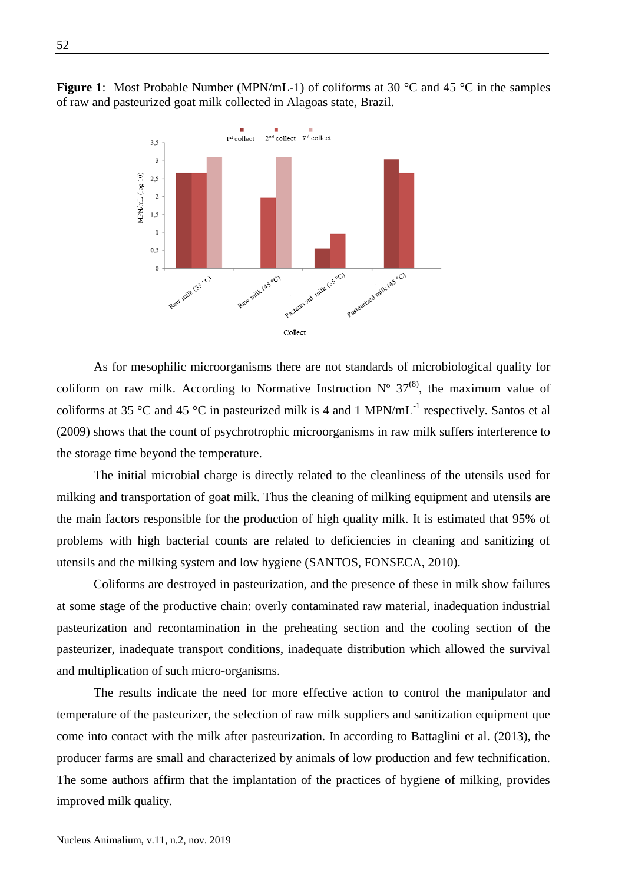

**Figure 1**: Most Probable Number (MPN/mL-1) of coliforms at 30 °C and 45 °C in the samples of raw and pasteurized goat milk collected in Alagoas state, Brazil.

As for mesophilic microorganisms there are not standards of microbiological quality for coliform on raw milk. According to Normative Instruction  $N^{\circ}$  37<sup>(8)</sup>, the maximum value of coliforms at 35 °C and 45 °C in pasteurized milk is 4 and 1 MPN/mL<sup>-1</sup> respectively. Santos et al (2009) shows that the count of psychrotrophic microorganisms in raw milk suffers interference to the storage time beyond the temperature.

The initial microbial charge is directly related to the cleanliness of the utensils used for milking and transportation of goat milk. Thus the cleaning of milking equipment and utensils are the main factors responsible for the production of high quality milk. It is estimated that 95% of problems with high bacterial counts are related to deficiencies in cleaning and sanitizing of utensils and the milking system and low hygiene (SANTOS, FONSECA, 2010).

Coliforms are destroyed in pasteurization, and the presence of these in milk show failures at some stage of the productive chain: overly contaminated raw material, inadequation industrial pasteurization and recontamination in the preheating section and the cooling section of the pasteurizer, inadequate transport conditions, inadequate distribution which allowed the survival and multiplication of such micro-organisms.

The results indicate the need for more effective action to control the manipulator and temperature of the pasteurizer, the selection of raw milk suppliers and sanitization equipment que come into contact with the milk after pasteurization. In according to Battaglini et al. (2013), the producer farms are small and characterized by animals of low production and few technification. The some authors affirm that the implantation of the practices of hygiene of milking, provides improved milk quality.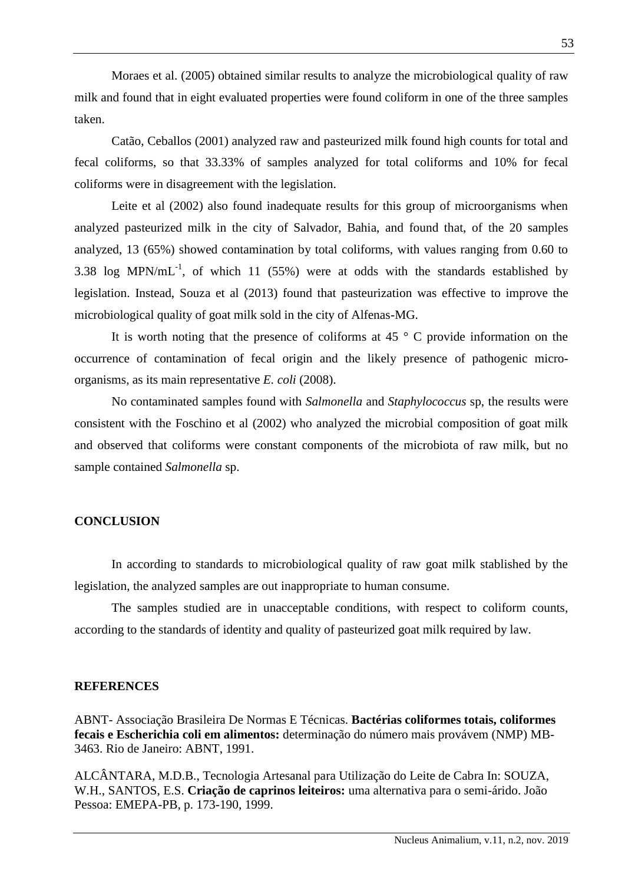Moraes et al. (2005) obtained similar results to analyze the microbiological quality of raw milk and found that in eight evaluated properties were found coliform in one of the three samples taken.

Catão, Ceballos (2001) analyzed raw and pasteurized milk found high counts for total and fecal coliforms, so that 33.33% of samples analyzed for total coliforms and 10% for fecal coliforms were in disagreement with the legislation.

Leite et al (2002) also found inadequate results for this group of microorganisms when analyzed pasteurized milk in the city of Salvador, Bahia, and found that, of the 20 samples analyzed, 13 (65%) showed contamination by total coliforms, with values ranging from 0.60 to 3.38 log MPN/mL<sup>-1</sup>, of which 11 (55%) were at odds with the standards established by legislation. Instead, Souza et al (2013) found that pasteurization was effective to improve the microbiological quality of goat milk sold in the city of Alfenas-MG.

It is worth noting that the presence of coliforms at 45  $\degree$  C provide information on the occurrence of contamination of fecal origin and the likely presence of pathogenic microorganisms, as its main representative *E. coli* (2008).

No contaminated samples found with *Salmonella* and *Staphylococcus* sp, the results were consistent with the Foschino et al (2002) who analyzed the microbial composition of goat milk and observed that coliforms were constant components of the microbiota of raw milk, but no sample contained *Salmonella* sp.

## **CONCLUSION**

In according to standards to microbiological quality of raw goat milk stablished by the legislation, the analyzed samples are out inappropriate to human consume.

The samples studied are in unacceptable conditions, with respect to coliform counts, according to the standards of identity and quality of pasteurized goat milk required by law.

## **REFERENCES**

ABNT- Associação Brasileira De Normas E Técnicas. **Bactérias coliformes totais, coliformes fecais e Escherichia coli em alimentos:** determinação do número mais provávem (NMP) MB-3463. Rio de Janeiro: ABNT, 1991.

ALCÂNTARA, M.D.B., Tecnologia Artesanal para Utilização do Leite de Cabra In: SOUZA, W.H., SANTOS, E.S. **Criação de caprinos leiteiros:** uma alternativa para o semi-árido. João Pessoa: EMEPA-PB, p. 173-190, 1999.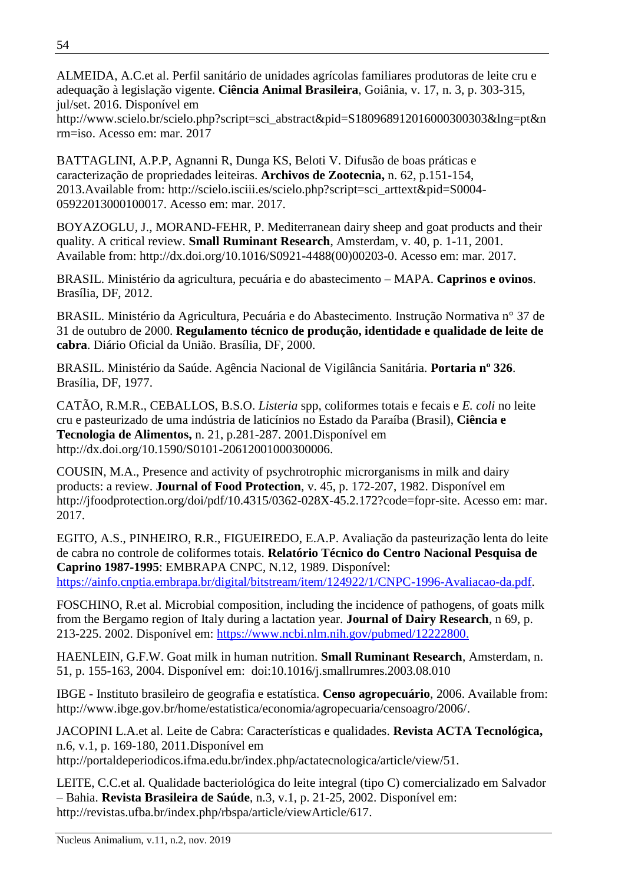ALMEIDA, A.C.et al. Perfil sanitário de unidades agrícolas familiares produtoras de leite cru e adequação à legislação vigente. **Ciência Animal Brasileira**, Goiânia, v. 17, n. 3, p. 303-315, jul/set. 2016. Disponível em

[http://www.scielo.br/scielo.php?script=sci\\_abstract&pid=S180968912016000300303&lng=pt&n](http://www.scielo.br/scielo.php?script=sci_abstract&pid=S180968912016000300303&lng=pt&nrm=iso) [rm=iso.](http://www.scielo.br/scielo.php?script=sci_abstract&pid=S180968912016000300303&lng=pt&nrm=iso) Acesso em: mar. 2017

BATTAGLINI, A.P.P, Agnanni R, Dunga KS, Beloti V. Difusão de boas práticas e caracterização de propriedades leiteiras. **Archivos de Zootecnia,** n. 62, p.151-154, 2013.Available from: [http://scielo.isciii.es/scielo.php?script=sci\\_arttext&pid=S0004-](http://scielo.isciii.es/scielo.php?script=sci_arttext&pid=S0004-05922013000100017) [05922013000100017.](http://scielo.isciii.es/scielo.php?script=sci_arttext&pid=S0004-05922013000100017) Acesso em: mar. 2017.

BOYAZOGLU, J., MORAND-FEHR, P. Mediterranean dairy sheep and goat products and their quality. A critical review. **Small Ruminant Research**, Amsterdam, v. 40, p. 1-11, 2001. Available from: [http://dx.doi.org/10.1016/S0921-4488\(00\)00203-0.](http://dx.doi.org/10.1016/S0921-4488(00)00203-0) Acesso em: mar. 2017.

BRASIL. Ministério da agricultura, pecuária e do abastecimento – MAPA. **Caprinos e ovinos**. Brasília, DF, 2012.

BRASIL. Ministério da Agricultura, Pecuária e do Abastecimento. Instrução Normativa n° 37 de 31 de outubro de 2000. **Regulamento técnico de produção, identidade e qualidade de leite de cabra**. Diário Oficial da União. Brasília, DF, 2000.

BRASIL. Ministério da Saúde. Agência Nacional de Vigilância Sanitária. **Portaria nº 326**. Brasília, DF, 1977.

CATÃO, R.M.R., CEBALLOS, B.S.O. *Listeria* spp, coliformes totais e fecais e *E. coli* no leite cru e pasteurizado de uma indústria de laticínios no Estado da Paraíba (Brasil), **Ciência e Tecnologia de Alimentos,** n. 21, p.281-287. 2001.Disponível em [http://dx.doi.org/10.1590/S0101-20612001000300006.](http://dx.doi.org/10.1590/S0101-20612001000300006)

COUSIN, M.A., Presence and activity of psychrotrophic microrganisms in milk and dairy products: a review. **Journal of Food Protection**, v. 45, p. 172-207, 1982. Disponível em [http://jfoodprotection.org/doi/pdf/10.4315/0362-028X-45.2.172?code=fopr-site.](http://jfoodprotection.org/doi/pdf/10.4315/0362-028X-45.2.172?code=fopr-site) Acesso em: mar. 2017.

EGITO, A.S., PINHEIRO, R.R., FIGUEIREDO, E.A.P. Avaliação da pasteurização lenta do leite de cabra no controle de coliformes totais. **Relatório Técnico do Centro Nacional Pesquisa de Caprino 1987-1995**: EMBRAPA CNPC, N.12, 1989. Disponível: https://ainfo.cnptia.embrapa.br/digital/bitstream/item/124922/1/CNPC-1996-Avaliacao-da.pdf.

FOSCHINO, R.et al. Microbial composition, including the incidence of pathogens, of goats milk from the Bergamo region of Italy during a lactation year. **Journal of Dairy Research**, n 69, p. 213-225. 2002. Disponível em: [https://www.ncbi.nlm.nih.gov/pubmed/12222800.](https://www.ncbi.nlm.nih.gov/pubmed/12222800)

HAENLEIN, G.F.W. Goat milk in human nutrition. **Small Ruminant Research**, Amsterdam, n. 51, p. 155-163, 2004. Disponível em: doi:10.1016/j.smallrumres.2003.08.010

IBGE - Instituto brasileiro de geografia e estatística. **Censo agropecuário**, 2006. Available from: [http://www.ibge.gov.br/home/estatistica/economia/agropecuaria/censoagro/2006/.](http://www.ibge.gov.br/home/estatistica/economia/agropecuaria/censoagro/2006/)

JACOPINI L.A.et al. Leite de Cabra: Características e qualidades. **Revista ACTA Tecnológica,**  n.6, v.1, p. 169-180, 2011.Disponível em [http://portaldeperiodicos.ifma.edu.br/index.php/actatecnologica/article/view/51.](http://portaldeperiodicos.ifma.edu.br/index.php/actatecnologica/article/view/51)

LEITE, C.C.et al. Qualidade bacteriológica do leite integral (tipo C) comercializado em Salvador – Bahia. **Revista Brasileira de Saúde**, n.3, v.1, p. 21-25, 2002. Disponível em: [http://revistas.ufba.br/index.php/rbspa/article/viewArticle/617.](http://revistas.ufba.br/index.php/rbspa/article/viewArticle/617)